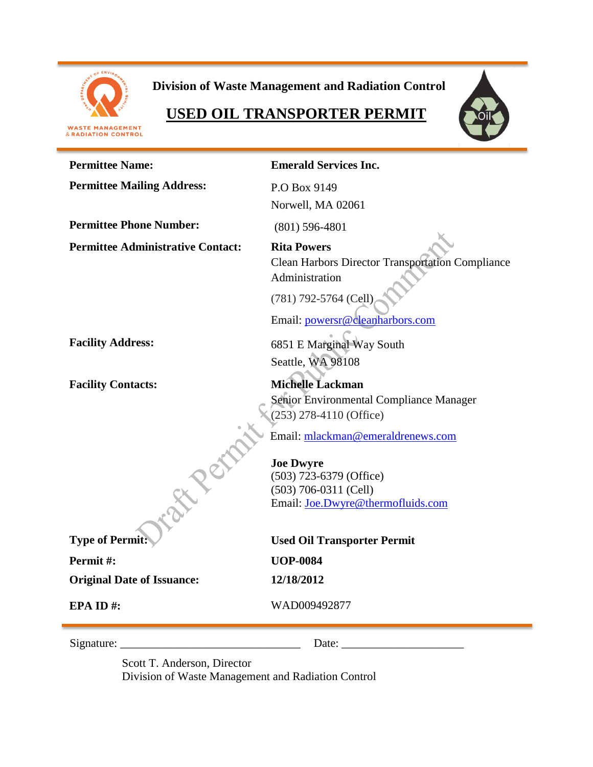

**Division of Waste Management and Radiation Control**

# **USED OIL TRANSPORTER PERMIT**





| <b>Permittee Name:</b>                   | <b>Emerald Services Inc.</b>                                                                    |
|------------------------------------------|-------------------------------------------------------------------------------------------------|
| <b>Permittee Mailing Address:</b>        | P.O Box 9149                                                                                    |
|                                          | Norwell, MA 02061                                                                               |
| <b>Permittee Phone Number:</b>           | $(801)$ 596-4801                                                                                |
| <b>Permittee Administrative Contact:</b> | <b>Rita Powers</b><br><b>Clean Harbors Director Transportation Compliance</b><br>Administration |
|                                          | (781) 792-5764 (Cell)<br>Email: powersr@cleanharbors.com                                        |
| <b>Facility Address:</b>                 | 6851 E Marginal Way South                                                                       |
|                                          | Seattle, WA 98108                                                                               |
| <b>Facility Contacts:</b>                | <b>Michelle Lackman</b>                                                                         |
|                                          | Senior Environmental Compliance Manager                                                         |
|                                          | $(253)$ 278-4110 (Office)                                                                       |
|                                          | Email: mlackman@emeraldrenews.com                                                               |
|                                          | <b>Joe Dwyre</b>                                                                                |
|                                          | (503) 723-6379 (Office)                                                                         |
|                                          | $(503)$ 706-0311 (Cell)                                                                         |
|                                          | Email: Joe.Dwyre@thermofluids.com                                                               |
| <b>Type of Permit</b>                    | <b>Used Oil Transporter Permit</b>                                                              |
| Permit#:                                 | <b>UOP-0084</b>                                                                                 |
| <b>Original Date of Issuance:</b>        | 12/18/2012                                                                                      |
| EPA ID#:                                 | WAD009492877                                                                                    |
| Signature:                               | Date:                                                                                           |

Scott T. Anderson, Director Division of Waste Management and Radiation Control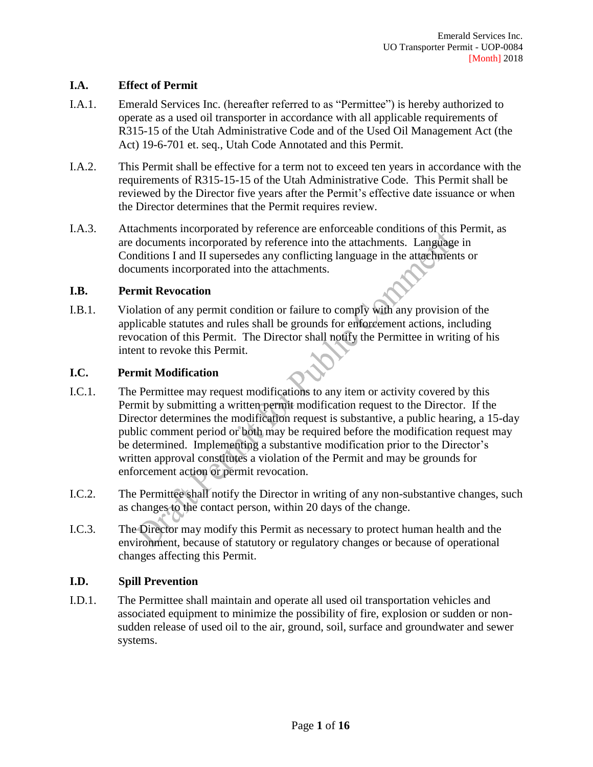# **I.A. Effect of Permit**

- I.A.1. Emerald Services Inc. (hereafter referred to as "Permittee") is hereby authorized to operate as a used oil transporter in accordance with all applicable requirements of R315-15 of the Utah Administrative Code and of the Used Oil Management Act (the Act) 19-6-701 et. seq., Utah Code Annotated and this Permit.
- I.A.2. This Permit shall be effective for a term not to exceed ten years in accordance with the requirements of R315-15-15 of the Utah Administrative Code. This Permit shall be reviewed by the Director five years after the Permit's effective date issuance or when the Director determines that the Permit requires review.
- I.A.3. Attachments incorporated by reference are enforceable conditions of this Permit, as are documents incorporated by reference into the attachments. Language in Conditions I and II supersedes any conflicting language in the attachments or documents incorporated into the attachments.

#### **I.B. Permit Revocation**

I.B.1. Violation of any permit condition or failure to comply with any provision of the applicable statutes and rules shall be grounds for enforcement actions, including revocation of this Permit. The Director shall notify the Permittee in writing of his intent to revoke this Permit.

#### **I.C. Permit Modification**

- I.C.1. The Permittee may request modifications to any item or activity covered by this Permit by submitting a written permit modification request to the Director. If the Director determines the modification request is substantive, a public hearing, a 15-day public comment period or both may be required before the modification request may be determined. Implementing a substantive modification prior to the Director's written approval constitutes a violation of the Permit and may be grounds for enforcement action or permit revocation.
- I.C.2. The Permittee shall notify the Director in writing of any non-substantive changes, such as changes to the contact person, within 20 days of the change.
- I.C.3. The Director may modify this Permit as necessary to protect human health and the environment, because of statutory or regulatory changes or because of operational changes affecting this Permit.

#### **I.D. Spill Prevention**

I.D.1. The Permittee shall maintain and operate all used oil transportation vehicles and associated equipment to minimize the possibility of fire, explosion or sudden or nonsudden release of used oil to the air, ground, soil, surface and groundwater and sewer systems.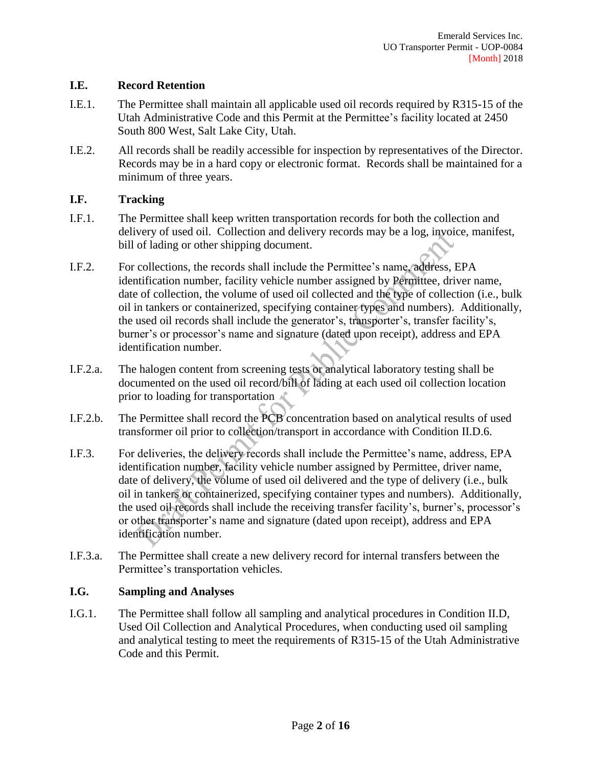# **I.E. Record Retention**

- I.E.1. The Permittee shall maintain all applicable used oil records required by R315-15 of the Utah Administrative Code and this Permit at the Permittee's facility located at 2450 South 800 West, Salt Lake City, Utah.
- I.E.2. All records shall be readily accessible for inspection by representatives of the Director. Records may be in a hard copy or electronic format. Records shall be maintained for a minimum of three years.

# **I.F. Tracking**

- I.F.1. The Permittee shall keep written transportation records for both the collection and delivery of used oil. Collection and delivery records may be a log, invoice, manifest, bill of lading or other shipping document.
- I.F.2. For collections, the records shall include the Permittee's name, address, EPA identification number, facility vehicle number assigned by Permittee, driver name, date of collection, the volume of used oil collected and the type of collection (i.e., bulk oil in tankers or containerized, specifying container types and numbers). Additionally, the used oil records shall include the generator's, transporter's, transfer facility's, burner's or processor's name and signature (dated upon receipt), address and EPA identification number.
- I.F.2.a. The halogen content from screening tests or analytical laboratory testing shall be documented on the used oil record/bill of lading at each used oil collection location prior to loading for transportation
- I.F.2.b. The Permittee shall record the PCB concentration based on analytical results of used transformer oil prior to collection/transport in accordance with Condition II.D.6.
- I.F.3. For deliveries, the delivery records shall include the Permittee's name, address, EPA identification number, facility vehicle number assigned by Permittee, driver name, date of delivery, the volume of used oil delivered and the type of delivery (i.e., bulk oil in tankers or containerized, specifying container types and numbers). Additionally, the used oil records shall include the receiving transfer facility's, burner's, processor's or other transporter's name and signature (dated upon receipt), address and EPA identification number.
- I.F.3.a. The Permittee shall create a new delivery record for internal transfers between the Permittee's transportation vehicles.

#### **I.G. Sampling and Analyses**

I.G.1. The Permittee shall follow all sampling and analytical procedures in Condition II.D, Used Oil Collection and Analytical Procedures, when conducting used oil sampling and analytical testing to meet the requirements of R315-15 of the Utah Administrative Code and this Permit.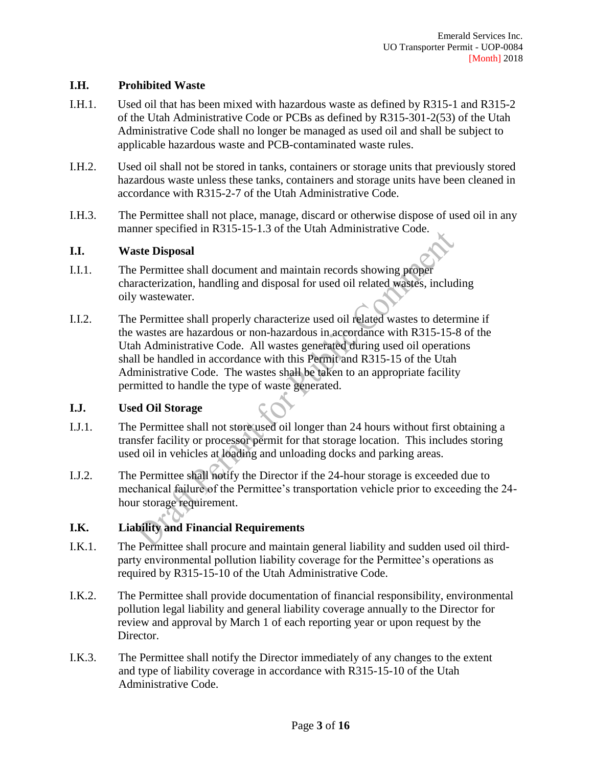#### **I.H. Prohibited Waste**

- I.H.1. Used oil that has been mixed with hazardous waste as defined by R315-1 and R315-2 of the Utah Administrative Code or PCBs as defined by R315-301-2(53) of the Utah Administrative Code shall no longer be managed as used oil and shall be subject to applicable hazardous waste and PCB-contaminated waste rules.
- I.H.2. Used oil shall not be stored in tanks, containers or storage units that previously stored hazardous waste unless these tanks, containers and storage units have been cleaned in accordance with R315-2-7 of the Utah Administrative Code.
- I.H.3. The Permittee shall not place, manage, discard or otherwise dispose of used oil in any manner specified in R315-15-1.3 of the Utah Administrative Code.

#### **I.I. Waste Disposal**

- I.I.1. The Permittee shall document and maintain records showing proper characterization, handling and disposal for used oil related wastes, including oily wastewater.
- I.I.2. The Permittee shall properly characterize used oil related wastes to determine if the wastes are hazardous or non-hazardous in accordance with R315-15-8 of the Utah Administrative Code. All wastes generated during used oil operations shall be handled in accordance with this Permit and R315-15 of the Utah Administrative Code. The wastes shall be taken to an appropriate facility permitted to handle the type of waste generated.

# **I.J. Used Oil Storage**

- I.J.1. The Permittee shall not store used oil longer than 24 hours without first obtaining a transfer facility or processor permit for that storage location. This includes storing used oil in vehicles at loading and unloading docks and parking areas.
- I.J.2. The Permittee shall notify the Director if the 24-hour storage is exceeded due to mechanical failure of the Permittee's transportation vehicle prior to exceeding the 24 hour storage requirement.

# **I.K. Liability and Financial Requirements**

- I.K.1. The Permittee shall procure and maintain general liability and sudden used oil thirdparty environmental pollution liability coverage for the Permittee's operations as required by R315-15-10 of the Utah Administrative Code.
- I.K.2. The Permittee shall provide documentation of financial responsibility, environmental pollution legal liability and general liability coverage annually to the Director for review and approval by March 1 of each reporting year or upon request by the Director.
- I.K.3. The Permittee shall notify the Director immediately of any changes to the extent and type of liability coverage in accordance with R315-15-10 of the Utah Administrative Code.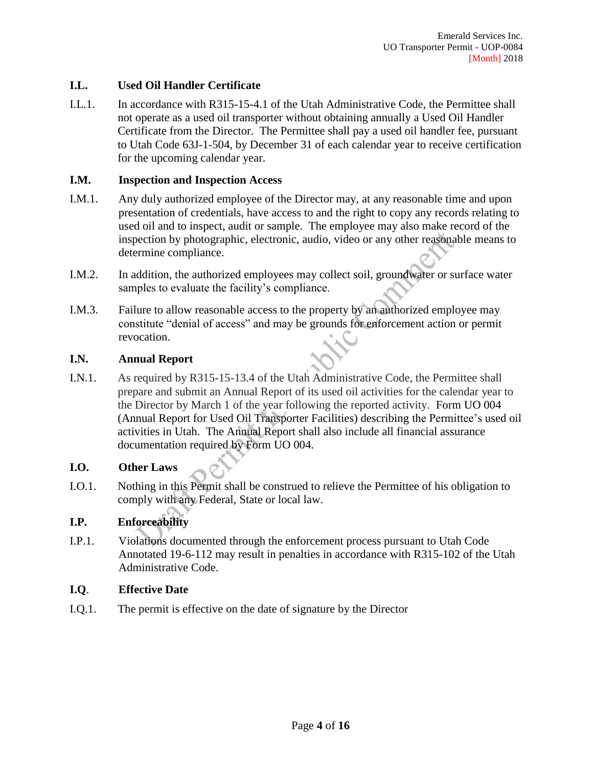# **I.L. Used Oil Handler Certificate**

I.L.1. In accordance with R315-15-4.1 of the Utah Administrative Code, the Permittee shall not operate as a used oil transporter without obtaining annually a Used Oil Handler Certificate from the Director. The Permittee shall pay a used oil handler fee, pursuant to Utah Code 63J-1-504, by December 31 of each calendar year to receive certification for the upcoming calendar year.

# **I.M. Inspection and Inspection Access**

- I.M.1. Any duly authorized employee of the Director may, at any reasonable time and upon presentation of credentials, have access to and the right to copy any records relating to used oil and to inspect, audit or sample. The employee may also make record of the inspection by photographic, electronic, audio, video or any other reasonable means to determine compliance.
- I.M.2. In addition, the authorized employees may collect soil, groundwater or surface water samples to evaluate the facility's compliance.
- I.M.3. Failure to allow reasonable access to the property by an authorized employee may constitute "denial of access" and may be grounds for enforcement action or permit revocation.

#### **I.N. Annual Report**

I.N.1. As required by R315-15-13.4 of the Utah Administrative Code, the Permittee shall prepare and submit an Annual Report of its used oil activities for the calendar year to the Director by March 1 of the year following the reported activity. Form UO 004 (Annual Report for Used Oil Transporter Facilities) describing the Permittee's used oil activities in Utah. The Annual Report shall also include all financial assurance documentation required by Form UO 004.

# **I.O. Other Laws**

I.O.1. Nothing in this Permit shall be construed to relieve the Permittee of his obligation to comply with any Federal, State or local law.

# **I.P. Enforceability**

I.P.1. Violations documented through the enforcement process pursuant to Utah Code Annotated 19-6-112 may result in penalties in accordance with R315-102 of the Utah Administrative Code.

# **I.Q**. **Effective Date**

I.Q.1. The permit is effective on the date of signature by the Director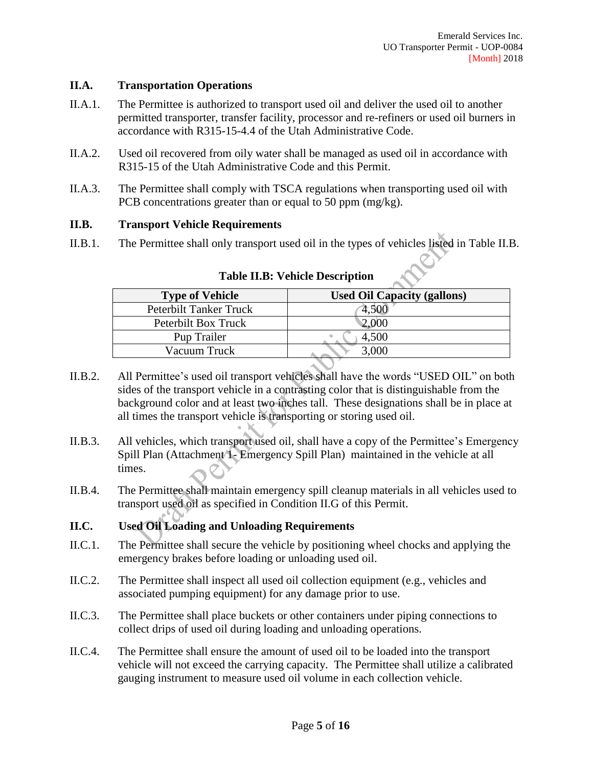# **II.A. Transportation Operations**

- II.A.1. The Permittee is authorized to transport used oil and deliver the used oil to another permitted transporter, transfer facility, processor and re-refiners or used oil burners in accordance with R315-15-4.4 of the Utah Administrative Code.
- II.A.2. Used oil recovered from oily water shall be managed as used oil in accordance with R315-15 of the Utah Administrative Code and this Permit.
- II.A.3. The Permittee shall comply with TSCA regulations when transporting used oil with PCB concentrations greater than or equal to 50 ppm (mg/kg).

#### **II.B. Transport Vehicle Requirements**

II.B.1. The Permittee shall only transport used oil in the types of vehicles listed in Table II.B.

| <b>Type of Vehicle</b> | <b>Used Oil Capacity (gallons)</b> |
|------------------------|------------------------------------|
| Peterbilt Tanker Truck |                                    |
| Peterbilt Box Truck    | 2,000                              |
| Pup Trailer            | 4,500                              |
| Vacuum Truck           | 3,000                              |

**Table II.B: Vehicle Description**

- II.B.2. All Permittee's used oil transport vehicles shall have the words "USED OIL" on both sides of the transport vehicle in a contrasting color that is distinguishable from the background color and at least two inches tall. These designations shall be in place at all times the transport vehicle is transporting or storing used oil.
- II.B.3. All vehicles, which transport used oil, shall have a copy of the Permittee's Emergency Spill Plan (Attachment 1- Emergency Spill Plan) maintained in the vehicle at all times.
- II.B.4. The Permittee shall maintain emergency spill cleanup materials in all vehicles used to transport used oil as specified in Condition II.G of this Permit.
- **II.C. Used Oil Loading and Unloading Requirements**
- II.C.1. The Permittee shall secure the vehicle by positioning wheel chocks and applying the emergency brakes before loading or unloading used oil.
- II.C.2. The Permittee shall inspect all used oil collection equipment (e.g., vehicles and associated pumping equipment) for any damage prior to use.
- II.C.3. The Permittee shall place buckets or other containers under piping connections to collect drips of used oil during loading and unloading operations.
- II.C.4. The Permittee shall ensure the amount of used oil to be loaded into the transport vehicle will not exceed the carrying capacity. The Permittee shall utilize a calibrated gauging instrument to measure used oil volume in each collection vehicle.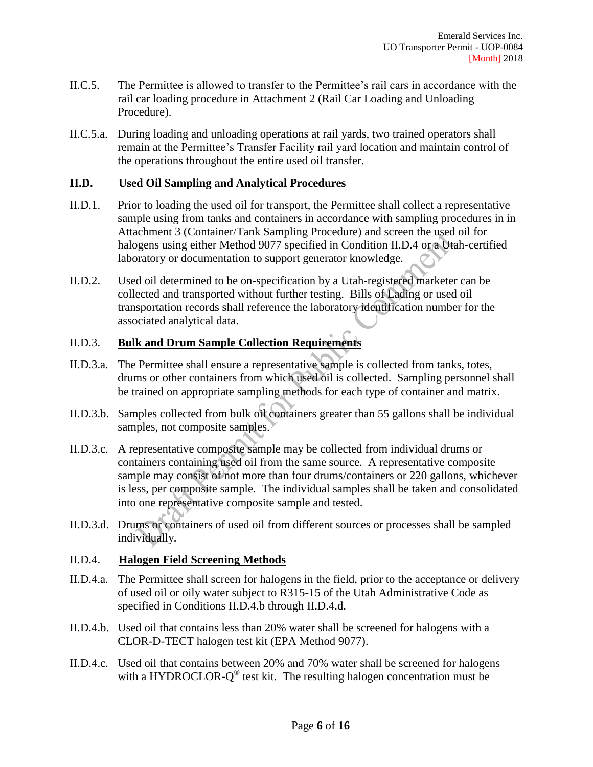- II.C.5. The Permittee is allowed to transfer to the Permittee's rail cars in accordance with the rail car loading procedure in Attachment 2 (Rail Car Loading and Unloading Procedure).
- II.C.5.a. During loading and unloading operations at rail yards, two trained operators shall remain at the Permittee's Transfer Facility rail yard location and maintain control of the operations throughout the entire used oil transfer.

#### **II.D. Used Oil Sampling and Analytical Procedures**

- II.D.1. Prior to loading the used oil for transport, the Permittee shall collect a representative sample using from tanks and containers in accordance with sampling procedures in in Attachment 3 (Container/Tank Sampling Procedure) and screen the used oil for halogens using either Method 9077 specified in Condition II.D.4 or a Utah-certified laboratory or documentation to support generator knowledge.
- II.D.2. Used oil determined to be on-specification by a Utah-registered marketer can be collected and transported without further testing. Bills of Lading or used oil transportation records shall reference the laboratory identification number for the associated analytical data.

# II.D.3. **Bulk and Drum Sample Collection Requirements**

- II.D.3.a. The Permittee shall ensure a representative sample is collected from tanks, totes, drums or other containers from which used oil is collected. Sampling personnel shall be trained on appropriate sampling methods for each type of container and matrix.
- II.D.3.b. Samples collected from bulk oil containers greater than 55 gallons shall be individual samples, not composite samples.
- II.D.3.c. A representative composite sample may be collected from individual drums or containers containing used oil from the same source. A representative composite sample may consist of not more than four drums/containers or 220 gallons, whichever is less, per composite sample. The individual samples shall be taken and consolidated into one representative composite sample and tested.
- II.D.3.d. Drums or containers of used oil from different sources or processes shall be sampled individually.

#### II.D.4. **Halogen Field Screening Methods**

- II.D.4.a. The Permittee shall screen for halogens in the field, prior to the acceptance or delivery of used oil or oily water subject to R315-15 of the Utah Administrative Code as specified in Conditions II.D.4.b through II.D.4.d.
- II.D.4.b. Used oil that contains less than 20% water shall be screened for halogens with a CLOR-D-TECT halogen test kit (EPA Method 9077).
- II.D.4.c. Used oil that contains between 20% and 70% water shall be screened for halogens with a HYDROCLOR- $Q^{\circledast}$  test kit. The resulting halogen concentration must be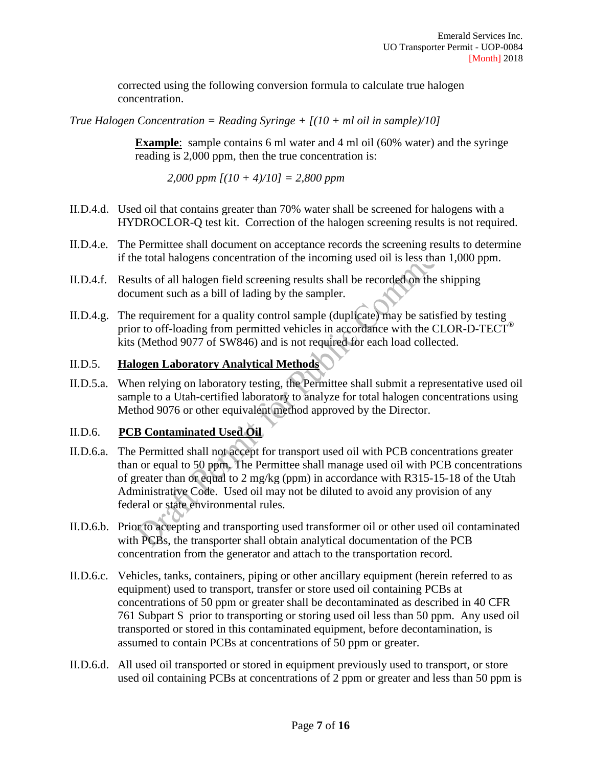corrected using the following conversion formula to calculate true halogen concentration.

*True Halogen Concentration = Reading Syringe + [(10 + ml oil in sample)/10]*

**Example**: sample contains 6 ml water and 4 ml oil (60% water) and the syringe reading is 2,000 ppm, then the true concentration is:

*2,000 ppm [(10 + 4)/10] = 2,800 ppm*

- II.D.4.d. Used oil that contains greater than 70% water shall be screened for halogens with a HYDROCLOR-Q test kit. Correction of the halogen screening results is not required.
- II.D.4.e. The Permittee shall document on acceptance records the screening results to determine if the total halogens concentration of the incoming used oil is less than 1,000 ppm.
- II.D.4.f. Results of all halogen field screening results shall be recorded on the shipping document such as a bill of lading by the sampler.
- II.D.4.g. The requirement for a quality control sample (duplicate) may be satisfied by testing prior to off-loading from permitted vehicles in accordance with the CLOR-D-TECT<sup>®</sup> kits (Method 9077 of SW846) and is not required for each load collected.

# II.D.5. **Halogen Laboratory Analytical Methods**

II.D.5.a. When relying on laboratory testing, the Permittee shall submit a representative used oil sample to a Utah-certified laboratory to analyze for total halogen concentrations using Method 9076 or other equivalent method approved by the Director.

# II.D.6. **PCB Contaminated Used Oil**

- II.D.6.a. The Permitted shall not accept for transport used oil with PCB concentrations greater than or equal to 50 ppm. The Permittee shall manage used oil with PCB concentrations of greater than or equal to 2 mg/kg (ppm) in accordance with R315-15-18 of the Utah Administrative Code. Used oil may not be diluted to avoid any provision of any federal or state environmental rules.
- II.D.6.b. Prior to accepting and transporting used transformer oil or other used oil contaminated with PCBs, the transporter shall obtain analytical documentation of the PCB concentration from the generator and attach to the transportation record.
- II.D.6.c. Vehicles, tanks, containers, piping or other ancillary equipment (herein referred to as equipment) used to transport, transfer or store used oil containing PCBs at concentrations of 50 ppm or greater shall be decontaminated as described in 40 CFR 761 Subpart S prior to transporting or storing used oil less than 50 ppm. Any used oil transported or stored in this contaminated equipment, before decontamination, is assumed to contain PCBs at concentrations of 50 ppm or greater.
- II.D.6.d. All used oil transported or stored in equipment previously used to transport, or store used oil containing PCBs at concentrations of 2 ppm or greater and less than 50 ppm is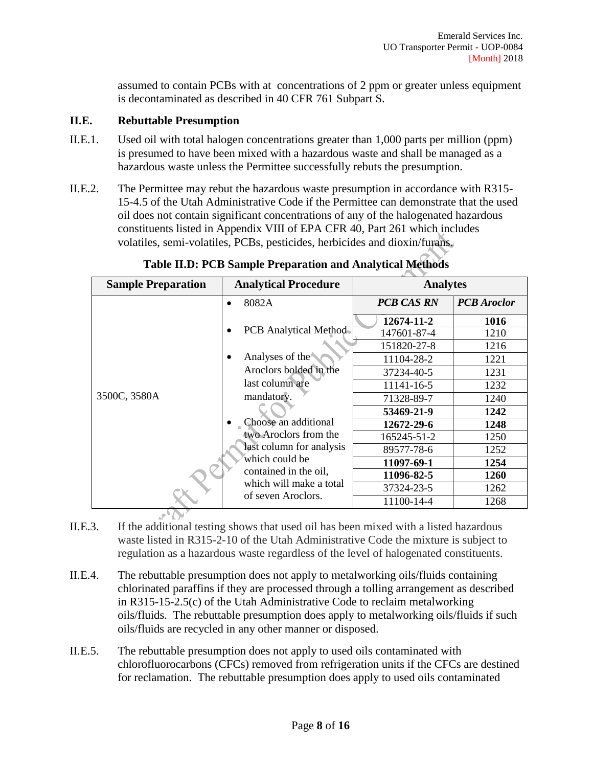assumed to contain PCBs with at concentrations of 2 ppm or greater unless equipment is decontaminated as described in 40 CFR 761 Subpart S.

#### **II.E. Rebuttable Presumption**

- II.E.1. Used oil with total halogen concentrations greater than 1,000 parts per million (ppm) is presumed to have been mixed with a hazardous waste and shall be managed as a hazardous waste unless the Permittee successfully rebuts the presumption.
- II.E.2. The Permittee may rebut the hazardous waste presumption in accordance with R315- 15-4.5 of the Utah Administrative Code if the Permittee can demonstrate that the used oil does not contain significant concentrations of any of the halogenated hazardous constituents listed in Appendix VIII of EPA CFR 40, Part 261 which includes volatiles, semi-volatiles, PCBs, pesticides, herbicides and dioxin/furans.

| <b>Sample Preparation</b> | <b>Analytical Procedure</b>                                                                 | <b>Analytes</b>   |                    |
|---------------------------|---------------------------------------------------------------------------------------------|-------------------|--------------------|
|                           | 8082A                                                                                       | <b>PCB CAS RN</b> | <b>PCB</b> Aroclor |
|                           | <b>PCB</b> Analytical Method<br>Analyses of the                                             | 12674-11-2        | 1016               |
|                           |                                                                                             | 147601-87-4       | 1210               |
| 3500C, 3580A              |                                                                                             | 151820-27-8       | 1216               |
|                           |                                                                                             | 11104-28-2        | 1221               |
|                           | Aroclors bolded in the                                                                      | 37234-40-5        | 1231               |
|                           | last column are                                                                             | 11141-16-5        | 1232               |
|                           | mandatory.                                                                                  | 71328-89-7        | 1240               |
|                           | Choose an additional<br>two Aroclors from the<br>last column for analysis<br>which could be | 53469-21-9        | 1242               |
|                           |                                                                                             | 12672-29-6        | 1248               |
|                           |                                                                                             | 165245-51-2       | 1250               |
|                           |                                                                                             | 89577-78-6        | 1252               |
|                           |                                                                                             | 11097-69-1        | 1254               |
|                           | contained in the oil,                                                                       | 11096-82-5        | 1260               |
|                           | which will make a total<br>of seven Aroclors.                                               | 37324-23-5        | 1262               |
|                           |                                                                                             | 11100-14-4        | 1268               |

**Table II.D: PCB Sample Preparation and Analytical Methods**

- II.E.3. If the additional testing shows that used oil has been mixed with a listed hazardous waste listed in R315-2-10 of the Utah Administrative Code the mixture is subject to regulation as a hazardous waste regardless of the level of halogenated constituents.
- II.E.4. The rebuttable presumption does not apply to metalworking oils/fluids containing chlorinated paraffins if they are processed through a tolling arrangement as described in R315-15-2.5(c) of the Utah Administrative Code to reclaim metalworking oils/fluids. The rebuttable presumption does apply to metalworking oils/fluids if such oils/fluids are recycled in any other manner or disposed.
- II.E.5. The rebuttable presumption does not apply to used oils contaminated with chlorofluorocarbons (CFCs) removed from refrigeration units if the CFCs are destined for reclamation. The rebuttable presumption does apply to used oils contaminated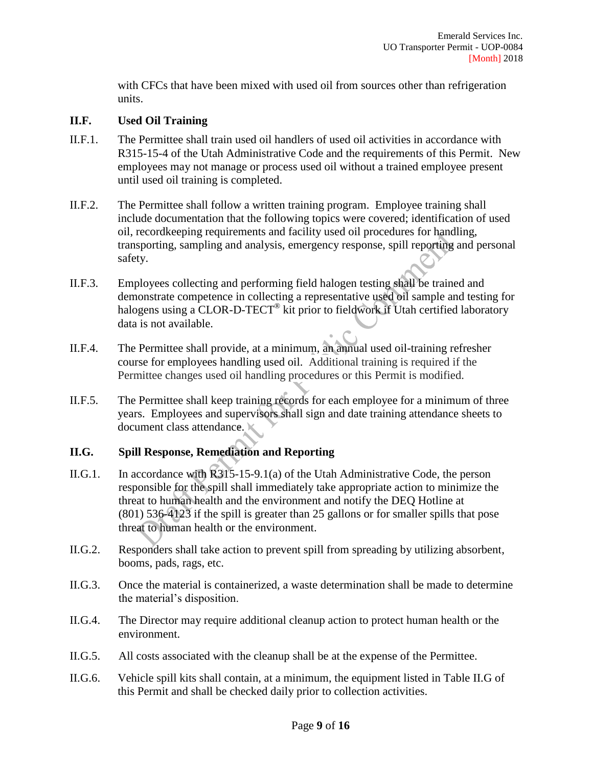with CFCs that have been mixed with used oil from sources other than refrigeration units.

#### **II.F. Used Oil Training**

- II.F.1. The Permittee shall train used oil handlers of used oil activities in accordance with R315-15-4 of the Utah Administrative Code and the requirements of this Permit. New employees may not manage or process used oil without a trained employee present until used oil training is completed.
- II.F.2. The Permittee shall follow a written training program. Employee training shall include documentation that the following topics were covered; identification of used oil, recordkeeping requirements and facility used oil procedures for handling, transporting, sampling and analysis, emergency response, spill reporting and personal safety.
- II.F.3. Employees collecting and performing field halogen testing shall be trained and demonstrate competence in collecting a representative used oil sample and testing for halogens using a CLOR-D-TECT<sup>®</sup> kit prior to fieldwork if Utah certified laboratory data is not available.
- II.F.4. The Permittee shall provide, at a minimum, an annual used oil-training refresher course for employees handling used oil. Additional training is required if the Permittee changes used oil handling procedures or this Permit is modified.
- II.F.5. The Permittee shall keep training records for each employee for a minimum of three years. Employees and supervisors shall sign and date training attendance sheets to document class attendance.

# **II.G. Spill Response, Remediation and Reporting**

- II.G.1. In accordance with R315-15-9.1(a) of the Utah Administrative Code, the person responsible for the spill shall immediately take appropriate action to minimize the threat to human health and the environment and notify the DEQ Hotline at (801) 536-4123 if the spill is greater than 25 gallons or for smaller spills that pose threat to human health or the environment.
- II.G.2. Responders shall take action to prevent spill from spreading by utilizing absorbent, booms, pads, rags, etc.
- II.G.3. Once the material is containerized, a waste determination shall be made to determine the material's disposition.
- II.G.4. The Director may require additional cleanup action to protect human health or the environment.
- II.G.5. All costs associated with the cleanup shall be at the expense of the Permittee.
- II.G.6. Vehicle spill kits shall contain, at a minimum, the equipment listed in Table II.G of this Permit and shall be checked daily prior to collection activities.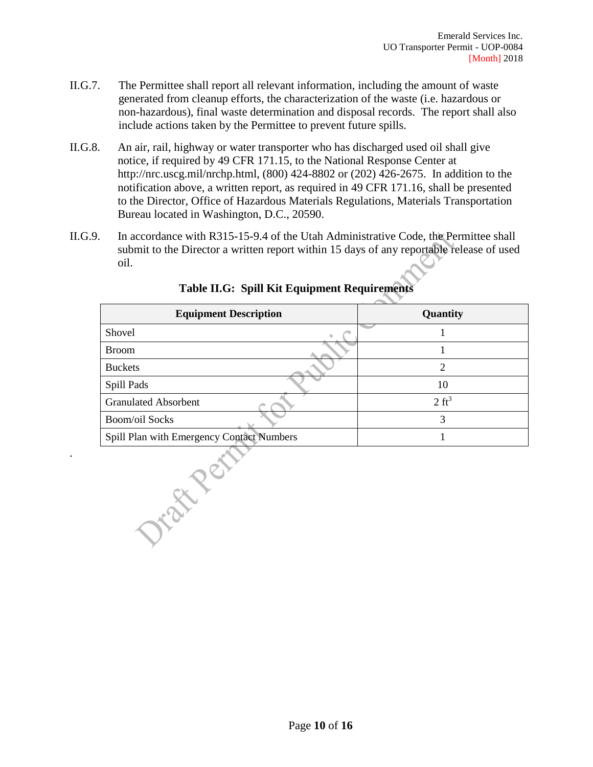- II.G.7. The Permittee shall report all relevant information, including the amount of waste generated from cleanup efforts, the characterization of the waste (i.e. hazardous or non-hazardous), final waste determination and disposal records. The report shall also include actions taken by the Permittee to prevent future spills.
- II.G.8. An air, rail, highway or water transporter who has discharged used oil shall give notice, if required by 49 CFR 171.15, to the National Response Center at http://nrc.uscg.mil/nrchp.html, (800) 424-8802 or (202) 426-2675. In addition to the notification above, a written report, as required in 49 CFR 171.16, shall be presented to the Director, Office of Hazardous Materials Regulations, Materials Transportation Bureau located in Washington, D.C., 20590.
- II.G.9. In accordance with R315-15-9.4 of the Utah Administrative Code, the Permittee shall submit to the Director a written report within 15 days of any reportable release of used oil.

| <b>Equipment Description</b>              | Quantity         |
|-------------------------------------------|------------------|
| Shovel<br>$\hfill\text{\rm\tiny 0}$       |                  |
| <b>Broom</b>                              |                  |
| <b>Buckets</b>                            | $\overline{2}$   |
| Spill Pads                                | 10               |
| <b>Granulated Absorbent</b>               | $2 \text{ ft}^3$ |
| <b>Boom/oil Socks</b>                     | 3                |
| Spill Plan with Emergency Contact Numbers | 1                |
|                                           |                  |

.

# **Table II.G: Spill Kit Equipment Requirements**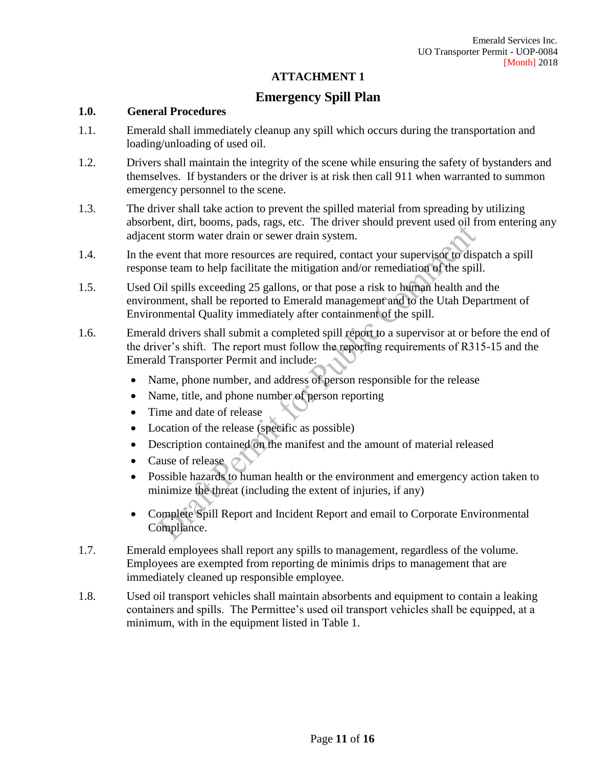#### **ATTACHMENT 1**

# **Emergency Spill Plan**

#### **1.0. General Procedures**

- 1.1. Emerald shall immediately cleanup any spill which occurs during the transportation and loading/unloading of used oil.
- 1.2. Drivers shall maintain the integrity of the scene while ensuring the safety of bystanders and themselves. If bystanders or the driver is at risk then call 911 when warranted to summon emergency personnel to the scene.
- 1.3. The driver shall take action to prevent the spilled material from spreading by utilizing absorbent, dirt, booms, pads, rags, etc. The driver should prevent used oil from entering any adjacent storm water drain or sewer drain system.
- 1.4. In the event that more resources are required, contact your supervisor to dispatch a spill response team to help facilitate the mitigation and/or remediation of the spill.
- 1.5. Used Oil spills exceeding 25 gallons, or that pose a risk to human health and the environment, shall be reported to Emerald management and to the Utah Department of Environmental Quality immediately after containment of the spill.
- 1.6. Emerald drivers shall submit a completed spill report to a supervisor at or before the end of the driver's shift. The report must follow the reporting requirements of R315-15 and the Emerald Transporter Permit and include:
	- Name, phone number, and address of person responsible for the release
	- Name, title, and phone number of person reporting
	- Time and date of release
	- Location of the release (specific as possible)
	- Description contained on the manifest and the amount of material released
	- Cause of release  $\circ$
	- Possible hazards to human health or the environment and emergency action taken to minimize the threat (including the extent of injuries, if any)
	- Complete Spill Report and Incident Report and email to Corporate Environmental Compliance.
- 1.7. Emerald employees shall report any spills to management, regardless of the volume. Employees are exempted from reporting de minimis drips to management that are immediately cleaned up responsible employee.
- 1.8. Used oil transport vehicles shall maintain absorbents and equipment to contain a leaking containers and spills. The Permittee's used oil transport vehicles shall be equipped, at a minimum, with in the equipment listed in Table 1.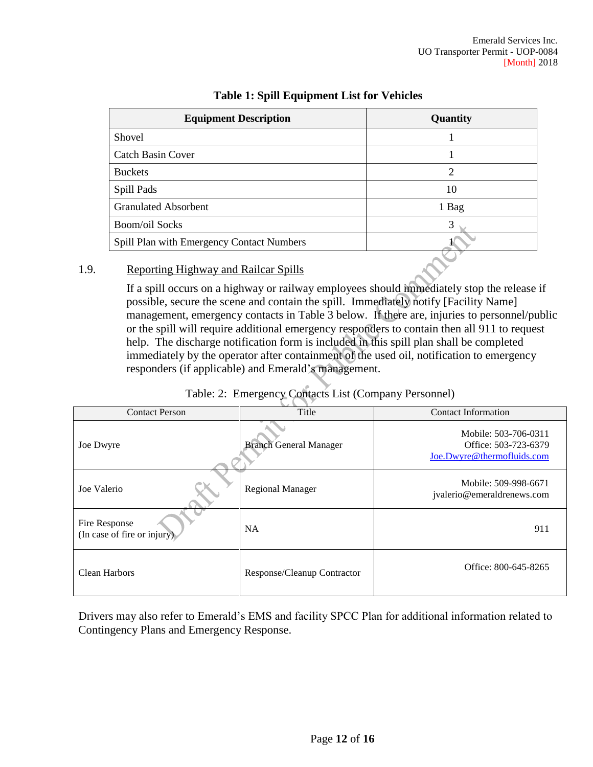| <b>Equipment Description</b>              | Quantity |
|-------------------------------------------|----------|
| Shovel                                    |          |
| <b>Catch Basin Cover</b>                  |          |
| <b>Buckets</b>                            | 2        |
| Spill Pads                                | 10       |
| <b>Granulated Absorbent</b>               | 1 Bag    |
| <b>Boom/oil Socks</b>                     | 3        |
| Spill Plan with Emergency Contact Numbers |          |

# **Table 1: Spill Equipment List for Vehicles**

#### 1.9. Reporting Highway and Railcar Spills

If a spill occurs on a highway or railway employees should immediately stop the release if possible, secure the scene and contain the spill. Immediately notify [Facility Name] management, emergency contacts in Table 3 below. If there are, injuries to personnel/public or the spill will require additional emergency responders to contain then all 911 to request help. The discharge notification form is included in this spill plan shall be completed immediately by the operator after containment of the used oil, notification to emergency responders (if applicable) and Emerald's management.

| Table: 2: Emergency Contacts List (Company Personnel) |  |  |  |  |  |
|-------------------------------------------------------|--|--|--|--|--|
|-------------------------------------------------------|--|--|--|--|--|

| <b>Contact Person</b>                        | Title                         | <b>Contact Information</b>                                                 |
|----------------------------------------------|-------------------------------|----------------------------------------------------------------------------|
| Joe Dwyre                                    | <b>Branch General Manager</b> | Mobile: 503-706-0311<br>Office: 503-723-6379<br>Joe.Dwyre@thermofluids.com |
| Joe Valerio                                  | <b>Regional Manager</b>       | Mobile: 509-998-6671<br>jvalerio@emeraldrenews.com                         |
| Fire Response<br>(In case of fire or injury) | NA                            | 911                                                                        |
| Clean Harbors                                | Response/Cleanup Contractor   | Office: 800-645-8265                                                       |

Drivers may also refer to Emerald's EMS and facility SPCC Plan for additional information related to Contingency Plans and Emergency Response.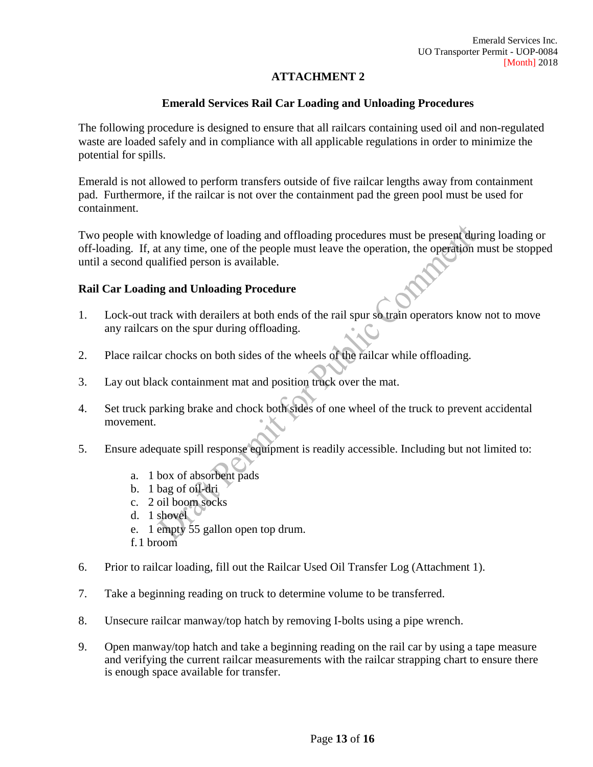# **ATTACHMENT 2**

#### **Emerald Services Rail Car Loading and Unloading Procedures**

The following procedure is designed to ensure that all railcars containing used oil and non-regulated waste are loaded safely and in compliance with all applicable regulations in order to minimize the potential for spills.

Emerald is not allowed to perform transfers outside of five railcar lengths away from containment pad. Furthermore, if the railcar is not over the containment pad the green pool must be used for containment.

Two people with knowledge of loading and offloading procedures must be present during loading or off-loading. If, at any time, one of the people must leave the operation, the operation must be stopped until a second qualified person is available.

#### **Rail Car Loading and Unloading Procedure**

- 1. Lock-out track with derailers at both ends of the rail spur so train operators know not to move any railcars on the spur during offloading.
- 2. Place railcar chocks on both sides of the wheels of the railcar while offloading.
- 3. Lay out black containment mat and position truck over the mat.
- 4. Set truck parking brake and chock both sides of one wheel of the truck to prevent accidental movement.
- 5. Ensure adequate spill response equipment is readily accessible. Including but not limited to:
	- a. 1 box of absorbent pads
	- b. 1 bag of  $\delta$ **l** $\mathbf{d}$ ri
	- c. 2 oil boom socks
	- d. 1 shovel
	- e. 1 empty 55 gallon open top drum.
	- f.1 broom
- 6. Prior to railcar loading, fill out the Railcar Used Oil Transfer Log (Attachment 1).
- 7. Take a beginning reading on truck to determine volume to be transferred.
- 8. Unsecure railcar manway/top hatch by removing I-bolts using a pipe wrench.
- 9. Open manway/top hatch and take a beginning reading on the rail car by using a tape measure and verifying the current railcar measurements with the railcar strapping chart to ensure there is enough space available for transfer.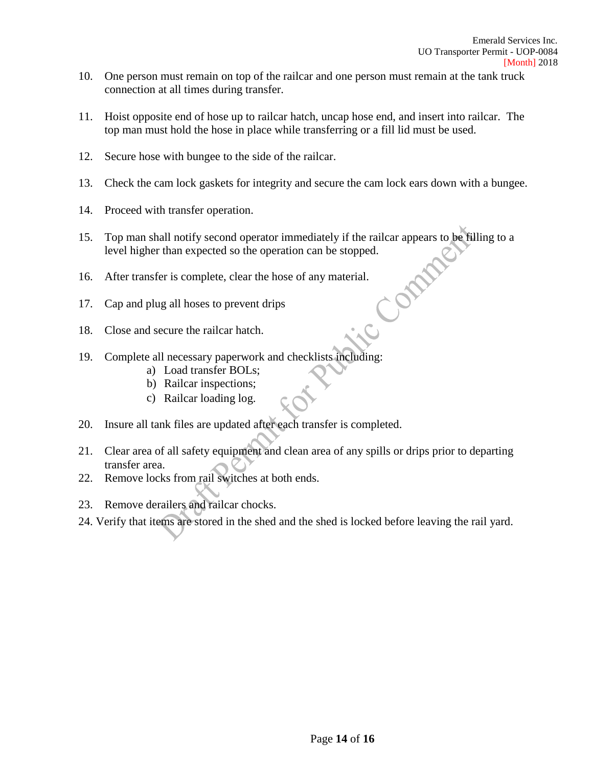- 10. One person must remain on top of the railcar and one person must remain at the tank truck connection at all times during transfer.
- 11. Hoist opposite end of hose up to railcar hatch, uncap hose end, and insert into railcar. The top man must hold the hose in place while transferring or a fill lid must be used.
- 12. Secure hose with bungee to the side of the railcar.
- 13. Check the cam lock gaskets for integrity and secure the cam lock ears down with a bungee.
- 14. Proceed with transfer operation.
- 15. Top man shall notify second operator immediately if the railcar appears to be filling to a level higher than expected so the operation can be stopped. DAM
- 16. After transfer is complete, clear the hose of any material.
- 17. Cap and plug all hoses to prevent drips
- 18. Close and secure the railcar hatch.
- 19. Complete all necessary paperwork and checklists including:
	- a) Load transfer BOLs;
	- b) Railcar inspections;
	- c) Railcar loading log.
- 20. Insure all tank files are updated after each transfer is completed.
- 21. Clear area of all safety equipment and clean area of any spills or drips prior to departing transfer area.
- 22. Remove locks from rail switches at both ends.
- 23. Remove derailers and railcar chocks.
- 24. Verify that items are stored in the shed and the shed is locked before leaving the rail yard.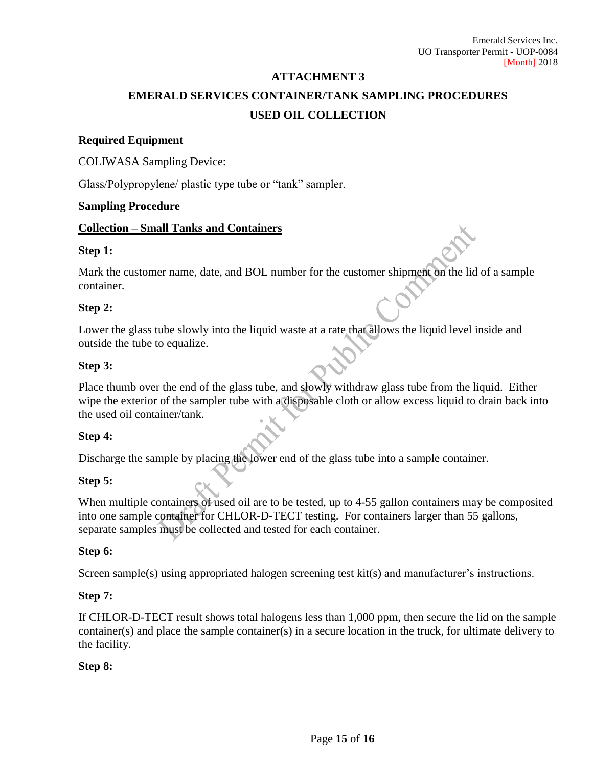#### **ATTACHMENT 3**

# **EMERALD SERVICES CONTAINER/TANK SAMPLING PROCEDURES USED OIL COLLECTION**

#### **Required Equipment**

COLIWASA Sampling Device:

Glass/Polypropylene/ plastic type tube or "tank" sampler.

#### **Sampling Procedure**

#### **Collection – Small Tanks and Containers**

#### **Step 1:**

Mark the customer name, date, and BOL number for the customer shipment on the lid of a sample container.

#### **Step 2:**

Lower the glass tube slowly into the liquid waste at a rate that allows the liquid level inside and outside the tube to equalize.

#### **Step 3:**

Place thumb over the end of the glass tube, and slowly withdraw glass tube from the liquid. Either wipe the exterior of the sampler tube with a disposable cloth or allow excess liquid to drain back into the used oil container/tank.

#### **Step 4:**

Discharge the sample by placing the lower end of the glass tube into a sample container.

#### **Step 5:**

When multiple containers of used oil are to be tested, up to 4-55 gallon containers may be composited into one sample container for CHLOR-D-TECT testing. For containers larger than 55 gallons, separate samples must be collected and tested for each container.

#### **Step 6:**

Screen sample(s) using appropriated halogen screening test kit(s) and manufacturer's instructions.

#### **Step 7:**

If CHLOR-D-TECT result shows total halogens less than 1,000 ppm, then secure the lid on the sample container(s) and place the sample container(s) in a secure location in the truck, for ultimate delivery to the facility.

#### **Step 8:**